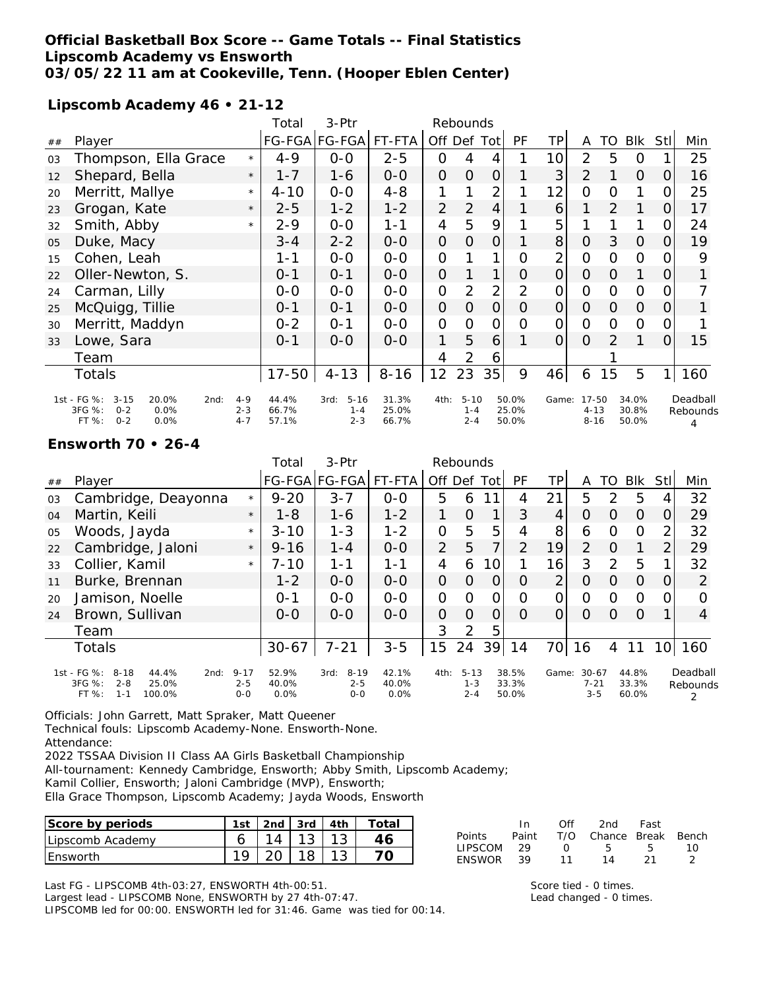### **Official Basketball Box Score -- Game Totals -- Final Statistics Lipscomb Academy vs Ensworth 03/05/22 11 am at Cookeville, Tenn. (Hooper Eblen Center)**

**Lipscomb Academy 46 • 21-12**

|    |                                                                                                   |                               | Total                   | 3-Ptr                                  | Rebounds                |                |                                |                |                         |                 |                                     |                |                         |          |                           |
|----|---------------------------------------------------------------------------------------------------|-------------------------------|-------------------------|----------------------------------------|-------------------------|----------------|--------------------------------|----------------|-------------------------|-----------------|-------------------------------------|----------------|-------------------------|----------|---------------------------|
| ## | Player                                                                                            |                               |                         | FG-FGA FG-FGA FT-FTA                   |                         |                | Off Def Tot                    |                | PF                      | TP              | A                                   | TO             | Blk                     | Stl      | Min                       |
| 03 | Thompson, Ella Grace                                                                              | $\star$                       | $4 - 9$                 | $0-0$                                  | $2 - 5$                 | 0              | 4                              | 4              |                         | 10              | $\overline{2}$                      | 5              | 0                       | 1        | 25                        |
| 12 | Shepard, Bella                                                                                    | $\star$                       | $1 - 7$                 | $1 - 6$                                | $0-0$                   | $\overline{O}$ | $\overline{O}$                 | 0              |                         | 3               | $\overline{2}$                      | 1              | $\overline{O}$          | $\Omega$ | 16                        |
| 20 | Merritt, Mallye                                                                                   | $\star$                       | $4 - 10$                | $O-O$                                  | $4 - 8$                 | 1              |                                | $\overline{2}$ |                         | 12 <sub>1</sub> | $\overline{O}$                      | 0              | 1                       | 0        | 25                        |
| 23 | Grogan, Kate                                                                                      | $\star$                       | $2 - 5$                 | $1 - 2$                                | $1 - 2$                 | $\overline{2}$ | $\overline{2}$                 | $\overline{4}$ |                         | 6               | 1                                   | $\overline{2}$ | 1                       | 0        | 17                        |
| 32 | Smith, Abby                                                                                       | $\star$                       | $2 - 9$                 | $0-0$                                  | $1 - 1$                 | 4              | 5                              | 9              |                         | 5               |                                     |                | 1                       | 0        | 24                        |
| 05 | Duke, Macy                                                                                        |                               | $3 - 4$                 | $2 - 2$                                | $O-O$                   | $\overline{O}$ | $\overline{O}$                 | 0              |                         | 8               | $\overline{O}$                      | 3              | $\mathcal{O}$           | 0        | 19                        |
| 15 | Cohen, Leah                                                                                       |                               | 1-1                     | $0 - 0$                                | $0 - 0$                 | 0              |                                | $\mathbf{1}$   | O                       | $\overline{2}$  | $\overline{O}$                      | 0              | $\Omega$                | 0        | 9                         |
| 22 | Oller-Newton, S.                                                                                  |                               | $0 - 1$                 | $0 - 1$                                | $0-0$                   | $\overline{O}$ |                                | 1              | 0                       | $\Omega$        | $\Omega$                            | 0              | 1                       | $\Omega$ |                           |
| 24 | Carman, Lilly                                                                                     |                               | $0 - 0$                 | $0 - 0$                                | $0-0$                   | $\overline{O}$ | 2                              | $\overline{2}$ | $\overline{2}$          | $\mathcal{O}$   | $\overline{O}$                      | $\Omega$       | $\Omega$                | 0        |                           |
| 25 | McQuigg, Tillie                                                                                   |                               | $0 - 1$                 | $0 - 1$                                | $0 - 0$                 | $\overline{O}$ | $\overline{O}$                 | $\overline{O}$ | $\Omega$                | $\Omega$        | $\Omega$                            | $\overline{O}$ | $\mathcal{O}$           | $\Omega$ |                           |
| 30 | Merritt, Maddyn                                                                                   |                               | $0 - 2$                 | $O - 1$                                | $0 - 0$                 | $\mathbf{O}$   | 0                              | 0              | $\overline{O}$          | $\mathcal{O}$   | $\mathcal{O}$                       | 0              | $\Omega$                | 0        |                           |
| 33 | Lowe, Sara                                                                                        |                               | $0 - 1$                 | $0 - 0$                                | $0 - 0$                 | 1              | 5                              | 6              |                         | $\Omega$        | $\Omega$                            | 2              | 1                       | 0        | 15                        |
|    | Team                                                                                              |                               |                         |                                        |                         | 4              | $\overline{2}$                 | 6              |                         |                 |                                     |                |                         |          |                           |
|    | Totals                                                                                            |                               | $17 - 50$               | $4 - 13$                               | $8 - 16$                | 12             | 23                             | 35             | 9                       | 46              | 6                                   | 15             | 5                       | 1.       | 160                       |
|    | 1st - FG %:<br>$3 - 15$<br>20.0%<br>2nd:<br>3FG %:<br>0.0%<br>$0 - 2$<br>FT %:<br>$0 - 2$<br>0.0% | $4 - 9$<br>$2 - 3$<br>$4 - 7$ | 44.4%<br>66.7%<br>57.1% | $5 - 16$<br>3rd:<br>$1 - 4$<br>$2 - 3$ | 31.3%<br>25.0%<br>66.7% | 4th:           | $5 - 10$<br>$1 - 4$<br>$2 - 4$ |                | 50.0%<br>25.0%<br>50.0% |                 | Game: 17-50<br>$4 - 13$<br>$8 - 16$ |                | 34.0%<br>30.8%<br>50.0% |          | Deadball<br>Rebounds<br>Δ |

#### **Ensworth 70 • 26-4**

|    |                                                                                                        |                                | Total                  | $3-Ptr$                              | Rebounds               |                |                                |    |                         |       |                                  |               |                         |                 |                                       |
|----|--------------------------------------------------------------------------------------------------------|--------------------------------|------------------------|--------------------------------------|------------------------|----------------|--------------------------------|----|-------------------------|-------|----------------------------------|---------------|-------------------------|-----------------|---------------------------------------|
| ## | Player                                                                                                 |                                |                        | FG-FGA FG-FGA                        | FT-FTA                 | Off Def Tot    |                                |    | PF                      | ТP    | A                                | TO            | <b>BIK</b>              | Stl             | Min                                   |
| 03 | Cambridge, Deayonna                                                                                    | $\star$                        | $9 - 20$               | $3 - 7$                              | $0 - 0$                | 5              | 6                              | 11 | 4                       | 21    | 5                                | $\mathcal{D}$ | 5                       |                 | 32                                    |
| 04 | Martin, Keili                                                                                          | $\star$                        | $1 - 8$                | $1 - 6$                              | $1 - 2$                |                | $\Omega$                       | 1  | 3                       | 4     | Ο                                | O             | $\Omega$                | 0               | 29                                    |
| 05 | Woods, Jayda                                                                                           | $\star$                        | $3 - 10$               | $1 - 3$                              | $1 - 2$                | $\overline{O}$ | 5                              | 5  | 4                       | 8     | 6                                | 0             | $\Omega$                | $\mathcal{P}_1$ | 32                                    |
| 22 | Cambridge, Jaloni                                                                                      | $\star$                        | $9 - 16$               | $1 - 4$                              | $0 - 0$                | 2              | 5                              | 7  | 2                       | 19    | 2                                | $\Omega$      | 1                       | 2               | 29                                    |
| 33 | Collier, Kamil                                                                                         | $\star$                        | $7 - 10$               | $1 - 1$                              | 1-1                    | 4              | 6                              | 10 |                         | 16    | 3                                | $\mathcal{P}$ | 5                       |                 | 32                                    |
| 11 | Burke, Brennan                                                                                         |                                | $1 - 2$                | $0 - 0$                              | $0-0$                  | $\overline{O}$ | $\Omega$                       | O  | $\Omega$                | 2     | Ο                                | $\Omega$      | $\overline{O}$          | $\Omega$        | $\overline{2}$                        |
| 20 | Jamison, Noelle                                                                                        |                                | $0 - 1$                | $0 - 0$                              | $0 - 0$                | $\Omega$       | $\Omega$                       | Ω  | Ω                       | 0     | $\Omega$                         | $\Omega$      | $\Omega$                | $\mathcal{O}$   | 0                                     |
| 24 | Brown, Sullivan                                                                                        |                                | $0 - 0$                | $0 - 0$                              | $0 - 0$                | 0              | $\Omega$                       | O  | Ω                       | Ο     | 0                                | O             | $\Omega$                |                 | 4                                     |
|    | Team                                                                                                   |                                |                        |                                      |                        | 3              | 2                              | 5  |                         |       |                                  |               |                         |                 |                                       |
|    | <b>Totals</b>                                                                                          |                                | $30 - 67$              | $7 - 21$                             | $3 - 5$                | 15             | 24                             | 39 | 14                      | 70    | 16                               | 4             | 11                      | 10 <sup>1</sup> | 160                                   |
|    | 1st - FG %:<br>$8 - 18$<br>44.4%<br>2nd:<br>3FG %:<br>$2 - 8$<br>25.0%<br>$FT%$ :<br>$1 - 1$<br>100.0% | $9 - 17$<br>$2 - 5$<br>$0 - 0$ | 52.9%<br>40.0%<br>0.0% | $8 - 19$<br>3rd:<br>$2 - 5$<br>$O-O$ | 42.1%<br>40.0%<br>0.0% | 4th:           | $5 - 13$<br>$1 - 3$<br>$2 - 4$ |    | 38.5%<br>33.3%<br>50.0% | Game: | $30 - 67$<br>$7 - 21$<br>$3 - 5$ |               | 44.8%<br>33.3%<br>60.0% |                 | Deadball<br>Rebounds<br>$\mathcal{P}$ |

Officials: John Garrett, Matt Spraker, Matt Queener

Technical fouls: Lipscomb Academy-None. Ensworth-None.

2022 TSSAA Division II Class AA Girls Basketball Championship

All-tournament: Kennedy Cambridge, Ensworth; Abby Smith, Lipscomb Academy;

Kamil Collier, Ensworth; Jaloni Cambridge (MVP), Ensworth;

Ella Grace Thompson, Lipscomb Academy; Jayda Woods, Ensworth

| Score by periods | 1st | $\vert$ 2nd $\vert$ 3rd $\vert$ 4th $\vert$ |           | Totai |
|------------------|-----|---------------------------------------------|-----------|-------|
| Lipscomb Academy |     |                                             | $14$   13 |       |
| <b>IEnsworth</b> |     | 20                                          | $18$ .    |       |

In Off 2nd Fast Points Paint T/O Chance Break Bench LIPSCOM 29 0 5 5 10 ENSWOR 39 11 14 21 2

Last FG - LIPSCOMB 4th-03:27, ENSWORTH 4th-00:51.

Largest lead - LIPSCOMB None, ENSWORTH by 27 4th-07:47.

LIPSCOMB led for 00:00. ENSWORTH led for 31:46. Game was tied for 00:14.

Attendance: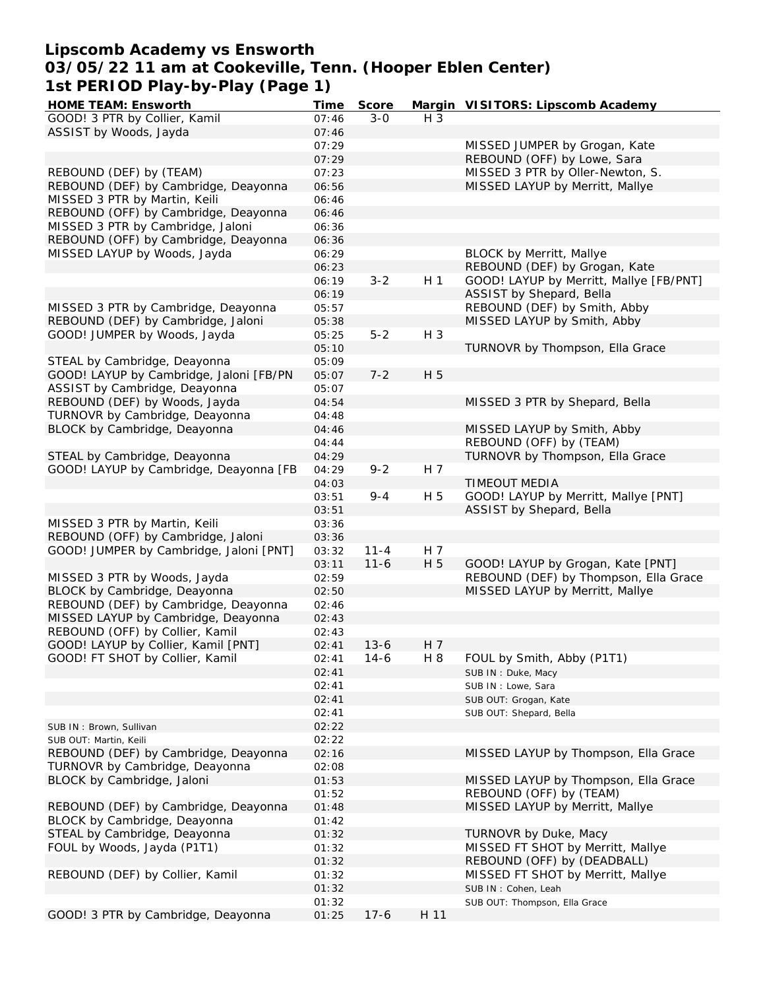# **Lipscomb Academy vs Ensworth 03/05/22 11 am at Cookeville, Tenn. (Hooper Eblen Center) 1st PERIOD Play-by-Play (Page 1)**

| HOME TEAM: Ensworth                     | Time  | Score    |                | Margin VISITORS: Lipscomb Academy       |
|-----------------------------------------|-------|----------|----------------|-----------------------------------------|
| GOOD! 3 PTR by Collier, Kamil           | 07:46 | $3 - 0$  | H 3            |                                         |
| ASSIST by Woods, Jayda                  | 07:46 |          |                |                                         |
|                                         | 07:29 |          |                | MISSED JUMPER by Grogan, Kate           |
|                                         | 07:29 |          |                | REBOUND (OFF) by Lowe, Sara             |
| REBOUND (DEF) by (TEAM)                 | 07:23 |          |                | MISSED 3 PTR by Oller-Newton, S.        |
| REBOUND (DEF) by Cambridge, Deayonna    | 06:56 |          |                | MISSED LAYUP by Merritt, Mallye         |
| MISSED 3 PTR by Martin, Keili           | 06:46 |          |                |                                         |
| REBOUND (OFF) by Cambridge, Deayonna    | 06:46 |          |                |                                         |
| MISSED 3 PTR by Cambridge, Jaloni       | 06:36 |          |                |                                         |
| REBOUND (OFF) by Cambridge, Deayonna    |       |          |                |                                         |
|                                         | 06:36 |          |                |                                         |
| MISSED LAYUP by Woods, Jayda            | 06:29 |          |                | <b>BLOCK by Merritt, Mallye</b>         |
|                                         | 06:23 |          |                | REBOUND (DEF) by Grogan, Kate           |
|                                         | 06:19 | $3 - 2$  | H <sub>1</sub> | GOOD! LAYUP by Merritt, Mallye [FB/PNT] |
|                                         | 06:19 |          |                | ASSIST by Shepard, Bella                |
| MISSED 3 PTR by Cambridge, Deayonna     | 05:57 |          |                | REBOUND (DEF) by Smith, Abby            |
| REBOUND (DEF) by Cambridge, Jaloni      | 05:38 |          |                | MISSED LAYUP by Smith, Abby             |
| GOOD! JUMPER by Woods, Jayda            | 05:25 | $5 - 2$  | $H_3$          |                                         |
|                                         | 05:10 |          |                | TURNOVR by Thompson, Ella Grace         |
| STEAL by Cambridge, Deayonna            | 05:09 |          |                |                                         |
| GOOD! LAYUP by Cambridge, Jaloni [FB/PN | 05:07 | $7 - 2$  | H 5            |                                         |
| ASSIST by Cambridge, Deayonna           | 05:07 |          |                |                                         |
| REBOUND (DEF) by Woods, Jayda           | 04:54 |          |                | MISSED 3 PTR by Shepard, Bella          |
| TURNOVR by Cambridge, Deayonna          | 04:48 |          |                |                                         |
| BLOCK by Cambridge, Deayonna            | 04:46 |          |                | MISSED LAYUP by Smith, Abby             |
|                                         | 04:44 |          |                | REBOUND (OFF) by (TEAM)                 |
| STEAL by Cambridge, Deayonna            | 04:29 |          |                | TURNOVR by Thompson, Ella Grace         |
| GOOD! LAYUP by Cambridge, Deayonna [FB  | 04:29 | $9 - 2$  | H 7            |                                         |
|                                         | 04:03 |          |                | <b>TIMEOUT MEDIA</b>                    |
|                                         | 03:51 | $9 - 4$  | H 5            | GOOD! LAYUP by Merritt, Mallye [PNT]    |
|                                         | 03:51 |          |                | ASSIST by Shepard, Bella                |
| MISSED 3 PTR by Martin, Keili           | 03:36 |          |                |                                         |
| REBOUND (OFF) by Cambridge, Jaloni      |       |          |                |                                         |
|                                         | 03:36 |          |                |                                         |
| GOOD! JUMPER by Cambridge, Jaloni [PNT] | 03:32 | $11 - 4$ | H 7            |                                         |
|                                         | 03:11 | $11 - 6$ | H 5            | GOOD! LAYUP by Grogan, Kate [PNT]       |
| MISSED 3 PTR by Woods, Jayda            | 02:59 |          |                | REBOUND (DEF) by Thompson, Ella Grace   |
| BLOCK by Cambridge, Deayonna            | 02:50 |          |                | MISSED LAYUP by Merritt, Mallye         |
| REBOUND (DEF) by Cambridge, Deayonna    | 02:46 |          |                |                                         |
| MISSED LAYUP by Cambridge, Deayonna     | 02:43 |          |                |                                         |
| REBOUND (OFF) by Collier, Kamil         | 02:43 |          |                |                                         |
| GOOD! LAYUP by Collier, Kamil [PNT]     | 02:41 | $13 - 6$ | H 7            |                                         |
| GOOD! FT SHOT by Collier, Kamil         | 02:41 | $14-6$   | H 8            | FOUL by Smith, Abby (P1T1)              |
|                                         | 02:41 |          |                | SUB IN: Duke, Macy                      |
|                                         | 02:41 |          |                | SUB IN: Lowe, Sara                      |
|                                         | 02:41 |          |                | SUB OUT: Grogan, Kate                   |
|                                         | 02:41 |          |                | SUB OUT: Shepard, Bella                 |
| SUB IN: Brown, Sullivan                 | 02:22 |          |                |                                         |
| SUB OUT: Martin, Keili                  | 02:22 |          |                |                                         |
| REBOUND (DEF) by Cambridge, Deayonna    | 02:16 |          |                | MISSED LAYUP by Thompson, Ella Grace    |
| TURNOVR by Cambridge, Deayonna          | 02:08 |          |                |                                         |
| BLOCK by Cambridge, Jaloni              | 01:53 |          |                | MISSED LAYUP by Thompson, Ella Grace    |
|                                         | 01:52 |          |                | REBOUND (OFF) by (TEAM)                 |
| REBOUND (DEF) by Cambridge, Deayonna    | 01:48 |          |                | MISSED LAYUP by Merritt, Mallye         |
| BLOCK by Cambridge, Deayonna            | 01:42 |          |                |                                         |
| STEAL by Cambridge, Deayonna            | 01:32 |          |                | TURNOVR by Duke, Macy                   |
| FOUL by Woods, Jayda (P1T1)             | 01:32 |          |                | MISSED FT SHOT by Merritt, Mallye       |
|                                         |       |          |                | REBOUND (OFF) by (DEADBALL)             |
| REBOUND (DEF) by Collier, Kamil         | 01:32 |          |                |                                         |
|                                         | 01:32 |          |                | MISSED FT SHOT by Merritt, Mallye       |
|                                         | 01:32 |          |                | SUB IN: Cohen, Leah                     |
|                                         | 01:32 |          |                | SUB OUT: Thompson, Ella Grace           |
| GOOD! 3 PTR by Cambridge, Deayonna      | 01:25 | $17-6$   | H 11           |                                         |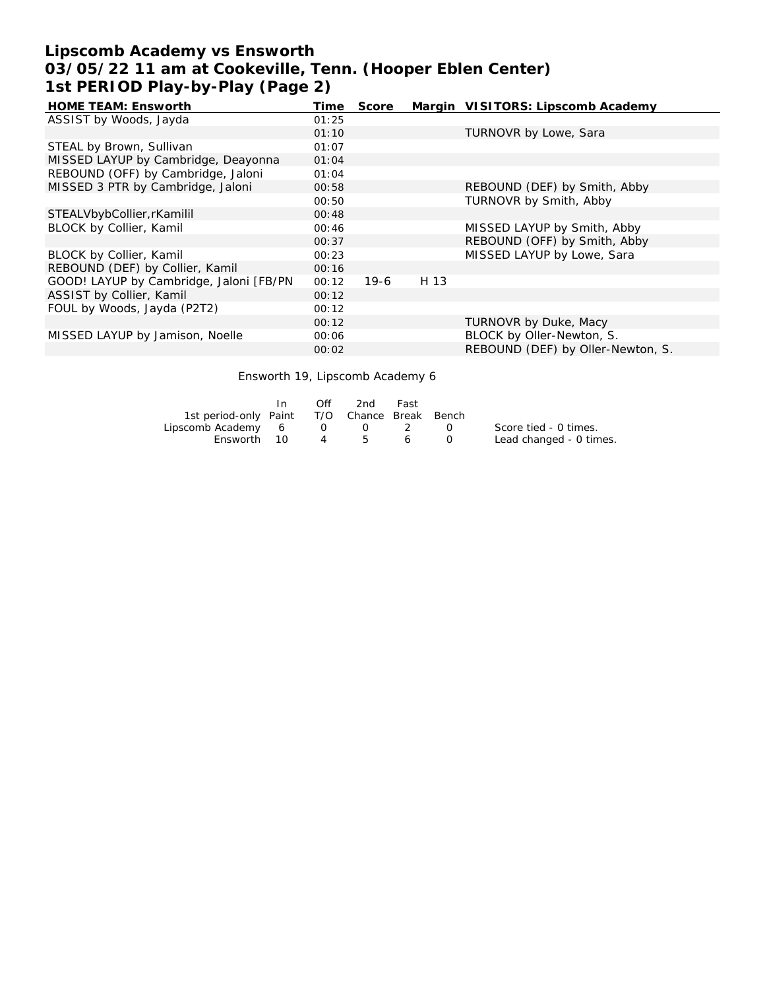# **Lipscomb Academy vs Ensworth 03/05/22 11 am at Cookeville, Tenn. (Hooper Eblen Center) 1st PERIOD Play-by-Play (Page 2)**

| HOME TEAM: Ensworth                      | Time  | Score  |      | Margin VISITORS: Lipscomb Academy |
|------------------------------------------|-------|--------|------|-----------------------------------|
| ASSIST by Woods, Jayda                   | 01:25 |        |      |                                   |
|                                          | 01:10 |        |      | TURNOVR by Lowe, Sara             |
| STEAL by Brown, Sullivan                 | 01:07 |        |      |                                   |
| MISSED LAYUP by Cambridge, Deayonna      | 01:04 |        |      |                                   |
| REBOUND (OFF) by Cambridge, Jaloni       | 01:04 |        |      |                                   |
| MISSED 3 PTR by Cambridge, Jaloni        | 00:58 |        |      | REBOUND (DEF) by Smith, Abby      |
|                                          | 00:50 |        |      | TURNOVR by Smith, Abby            |
| STEALVbybCollier, rKamilil               | 00:48 |        |      |                                   |
| BLOCK by Collier, Kamil                  | 00:46 |        |      | MISSED LAYUP by Smith, Abby       |
|                                          | 00:37 |        |      | REBOUND (OFF) by Smith, Abby      |
| BLOCK by Collier, Kamil                  | 00:23 |        |      | MISSED LAYUP by Lowe, Sara        |
| REBOUND (DEF) by Collier, Kamil          | 00:16 |        |      |                                   |
| GOOD! LAYUP by Cambridge, Jaloni [FB/PN] | 00:12 | $19-6$ | H 13 |                                   |
| ASSIST by Collier, Kamil                 | 00:12 |        |      |                                   |
| FOUL by Woods, Jayda (P2T2)              | 00:12 |        |      |                                   |
|                                          | 00:12 |        |      | TURNOVR by Duke, Macy             |
| MISSED LAYUP by Jamison, Noelle          | 00:06 |        |      | BLOCK by Oller-Newton, S.         |
|                                          | 00:02 |        |      | REBOUND (DEF) by Oller-Newton, S. |

Ensworth 19, Lipscomb Academy 6

|                                              | Off | 2nd | Fast |                         |
|----------------------------------------------|-----|-----|------|-------------------------|
| 1st period-only Paint T/O Chance Break Bench |     |     |      |                         |
| Lipscomb Academy 6 0 0 2 0                   |     |     |      | Score tied - 0 times.   |
| Ensworth 10                                  | 4 5 |     | 6 0  | Lead changed - 0 times. |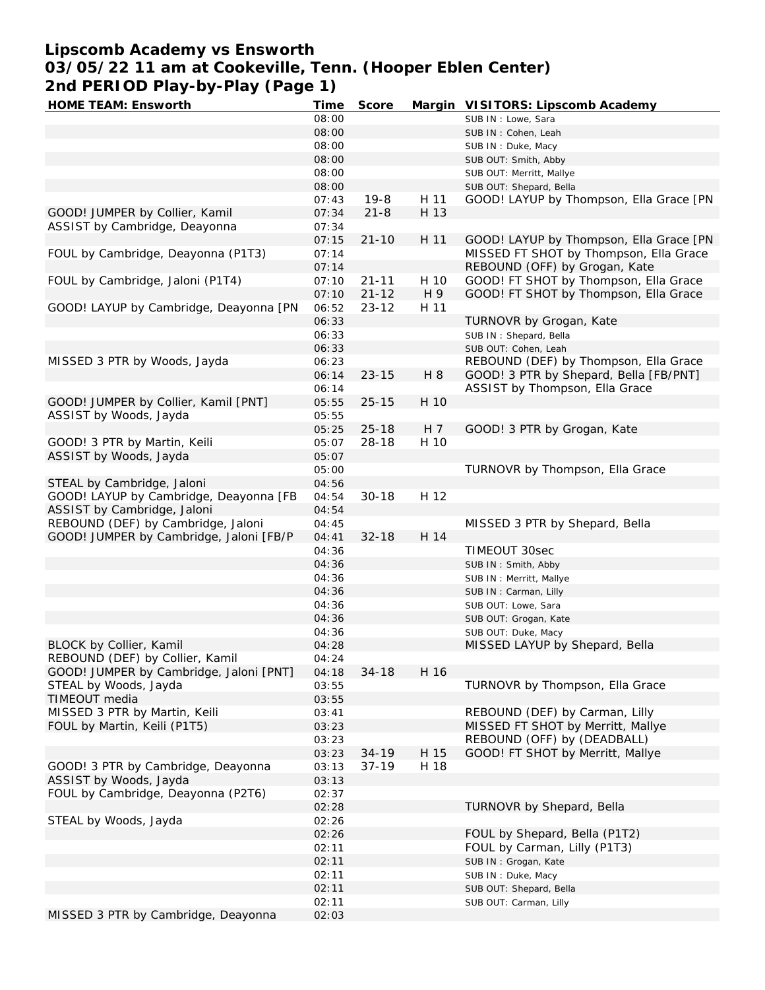# **Lipscomb Academy vs Ensworth**

**03/05/22 11 am at Cookeville, Tenn. (Hooper Eblen Center)**

**2nd PERIOD Play-by-Play (Page 1)**

| HOME TEAM: Ensworth                     | Time  | Score     |      | Margin VISITORS: Lipscomb Academy       |
|-----------------------------------------|-------|-----------|------|-----------------------------------------|
|                                         | 08:00 |           |      | SUB IN: Lowe, Sara                      |
|                                         | 08:00 |           |      | SUB IN: Cohen, Leah                     |
|                                         | 08:00 |           |      | SUB IN: Duke, Macy                      |
|                                         | 08:00 |           |      | SUB OUT: Smith, Abby                    |
|                                         | 08:00 |           |      | SUB OUT: Merritt, Mallye                |
|                                         | 08:00 |           |      | SUB OUT: Shepard, Bella                 |
|                                         | 07:43 | $19 - 8$  | H 11 | GOOD! LAYUP by Thompson, Ella Grace [PN |
| GOOD! JUMPER by Collier, Kamil          | 07:34 | $21 - 8$  | H 13 |                                         |
| ASSIST by Cambridge, Deayonna           | 07:34 |           |      |                                         |
|                                         |       | $21 - 10$ | H 11 |                                         |
|                                         | 07:15 |           |      | GOOD! LAYUP by Thompson, Ella Grace [PN |
| FOUL by Cambridge, Deayonna (P1T3)      | 07:14 |           |      | MISSED FT SHOT by Thompson, Ella Grace  |
|                                         | 07:14 |           |      | REBOUND (OFF) by Grogan, Kate           |
| FOUL by Cambridge, Jaloni (P1T4)        | 07:10 | $21 - 11$ | H 10 | GOOD! FT SHOT by Thompson, Ella Grace   |
|                                         | 07:10 | $21 - 12$ | H 9  | GOOD! FT SHOT by Thompson, Ella Grace   |
| GOOD! LAYUP by Cambridge, Deayonna [PN  | 06:52 | $23 - 12$ | H 11 |                                         |
|                                         | 06:33 |           |      | TURNOVR by Grogan, Kate                 |
|                                         | 06:33 |           |      | SUB IN: Shepard, Bella                  |
|                                         | 06:33 |           |      | SUB OUT: Cohen, Leah                    |
| MISSED 3 PTR by Woods, Jayda            | 06:23 |           |      | REBOUND (DEF) by Thompson, Ella Grace   |
|                                         | 06:14 | $23 - 15$ | H 8  | GOOD! 3 PTR by Shepard, Bella [FB/PNT]  |
|                                         | 06:14 |           |      | ASSIST by Thompson, Ella Grace          |
| GOOD! JUMPER by Collier, Kamil [PNT]    | 05:55 | $25 - 15$ | H 10 |                                         |
| ASSIST by Woods, Jayda                  | 05:55 |           |      |                                         |
|                                         | 05:25 | $25 - 18$ | H 7  | GOOD! 3 PTR by Grogan, Kate             |
| GOOD! 3 PTR by Martin, Keili            | 05:07 | $28 - 18$ | H 10 |                                         |
| ASSIST by Woods, Jayda                  | 05:07 |           |      |                                         |
|                                         | 05:00 |           |      | TURNOVR by Thompson, Ella Grace         |
| STEAL by Cambridge, Jaloni              | 04:56 |           |      |                                         |
|                                         |       |           | H 12 |                                         |
| GOOD! LAYUP by Cambridge, Deayonna [FB  | 04:54 | $30 - 18$ |      |                                         |
| ASSIST by Cambridge, Jaloni             | 04:54 |           |      |                                         |
| REBOUND (DEF) by Cambridge, Jaloni      | 04:45 |           |      | MISSED 3 PTR by Shepard, Bella          |
| GOOD! JUMPER by Cambridge, Jaloni [FB/P | 04:41 | $32 - 18$ | H 14 |                                         |
|                                         | 04:36 |           |      | TIMEOUT 30sec                           |
|                                         | 04:36 |           |      | SUB IN: Smith, Abby                     |
|                                         | 04:36 |           |      | SUB IN: Merritt, Mallye                 |
|                                         | 04:36 |           |      | SUB IN: Carman, Lilly                   |
|                                         | 04:36 |           |      | SUB OUT: Lowe, Sara                     |
|                                         | 04:36 |           |      | SUB OUT: Grogan, Kate                   |
|                                         | 04:36 |           |      | SUB OUT: Duke, Macy                     |
| BLOCK by Collier, Kamil                 | 04:28 |           |      | MISSED LAYUP by Shepard, Bella          |
| REBOUND (DEF) by Collier, Kamil         | 04:24 |           |      |                                         |
| GOOD! JUMPER by Cambridge, Jaloni [PNT] | 04:18 | $34 - 18$ | H 16 |                                         |
| STEAL by Woods, Jayda                   | 03:55 |           |      | TURNOVR by Thompson, Ella Grace         |
| TIMEOUT media                           | 03:55 |           |      |                                         |
| MISSED 3 PTR by Martin, Keili           | 03:41 |           |      | REBOUND (DEF) by Carman, Lilly          |
| FOUL by Martin, Keili (P1T5)            | 03:23 |           |      | MISSED FT SHOT by Merritt, Mallye       |
|                                         | 03:23 |           |      | REBOUND (OFF) by (DEADBALL)             |
|                                         |       | $34 - 19$ | H 15 |                                         |
|                                         | 03:23 |           |      | GOOD! FT SHOT by Merritt, Mallye        |
| GOOD! 3 PTR by Cambridge, Deayonna      | 03:13 | $37 - 19$ | H 18 |                                         |
| ASSIST by Woods, Jayda                  | 03:13 |           |      |                                         |
| FOUL by Cambridge, Deayonna (P2T6)      | 02:37 |           |      |                                         |
|                                         | 02:28 |           |      | TURNOVR by Shepard, Bella               |
| STEAL by Woods, Jayda                   | 02:26 |           |      |                                         |
|                                         | 02:26 |           |      | FOUL by Shepard, Bella (P1T2)           |
|                                         | 02:11 |           |      | FOUL by Carman, Lilly (P1T3)            |
|                                         | 02:11 |           |      | SUB IN : Grogan, Kate                   |
|                                         | 02:11 |           |      | SUB IN: Duke, Macy                      |
|                                         | 02:11 |           |      | SUB OUT: Shepard, Bella                 |
|                                         | 02:11 |           |      | SUB OUT: Carman, Lilly                  |
| MISSED 3 PTR by Cambridge, Deayonna     | 02:03 |           |      |                                         |
|                                         |       |           |      |                                         |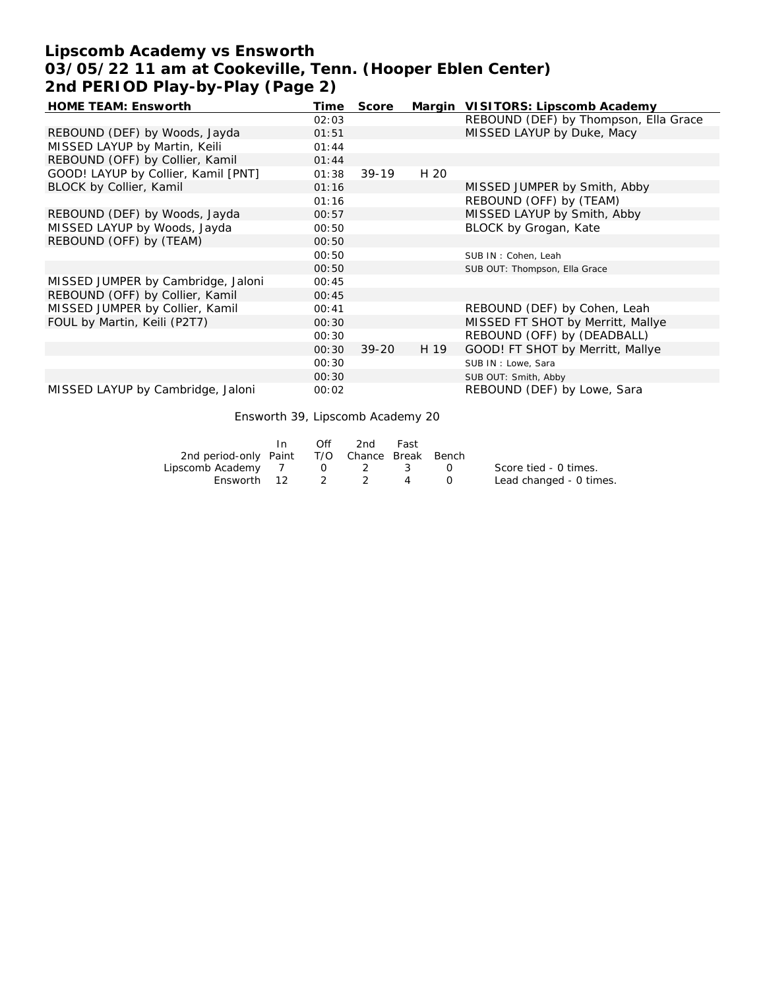# **Lipscomb Academy vs Ensworth 03/05/22 11 am at Cookeville, Tenn. (Hooper Eblen Center) 2nd PERIOD Play-by-Play (Page 2)**

| <b>HOME TEAM: Ensworth</b>          | Time  | Score     |      | Margin VISITORS: Lipscomb Academy     |
|-------------------------------------|-------|-----------|------|---------------------------------------|
|                                     | 02:03 |           |      | REBOUND (DEF) by Thompson, Ella Grace |
| REBOUND (DEF) by Woods, Jayda       | 01:51 |           |      | MISSED LAYUP by Duke, Macy            |
| MISSED LAYUP by Martin, Keili       | 01:44 |           |      |                                       |
| REBOUND (OFF) by Collier, Kamil     | 01:44 |           |      |                                       |
| GOOD! LAYUP by Collier, Kamil [PNT] | 01:38 | $39-19$   | H 20 |                                       |
| BLOCK by Collier, Kamil             | 01:16 |           |      | MISSED JUMPER by Smith, Abby          |
|                                     | 01:16 |           |      | REBOUND (OFF) by (TEAM)               |
| REBOUND (DEF) by Woods, Jayda       | 00:57 |           |      | MISSED LAYUP by Smith, Abby           |
| MISSED LAYUP by Woods, Jayda        | 00:50 |           |      | BLOCK by Grogan, Kate                 |
| REBOUND (OFF) by (TEAM)             | 00:50 |           |      |                                       |
|                                     | 00:50 |           |      | SUB IN: Cohen, Leah                   |
|                                     | 00:50 |           |      | SUB OUT: Thompson, Ella Grace         |
| MISSED JUMPER by Cambridge, Jaloni  | 00:45 |           |      |                                       |
| REBOUND (OFF) by Collier, Kamil     | 00:45 |           |      |                                       |
| MISSED JUMPER by Collier, Kamil     | 00:41 |           |      | REBOUND (DEF) by Cohen, Leah          |
| FOUL by Martin, Keili (P2T7)        | 00:30 |           |      | MISSED FT SHOT by Merritt, Mallye     |
|                                     | 00:30 |           |      | REBOUND (OFF) by (DEADBALL)           |
|                                     | 00:30 | $39 - 20$ | H 19 | GOOD! FT SHOT by Merritt, Mallye      |
|                                     | 00:30 |           |      | SUB IN: Lowe, Sara                    |
|                                     | 00:30 |           |      | SUB OUT: Smith, Abby                  |
| MISSED LAYUP by Cambridge, Jaloni   | 00:02 |           |      | REBOUND (DEF) by Lowe, Sara           |

Ensworth 39, Lipscomb Academy 20

|                                              | Off | 2nd | Fast |                               |                         |
|----------------------------------------------|-----|-----|------|-------------------------------|-------------------------|
| 2nd period-only Paint T/O Chance Break Bench |     |     |      |                               |                         |
| Lipscomb Academy 7 0 2 3                     |     |     |      | $\mathbf{O}$ and $\mathbf{O}$ | Score tied - 0 times.   |
| Ensworth 12                                  |     | 2 2 | 4    |                               | Lead changed - 0 times. |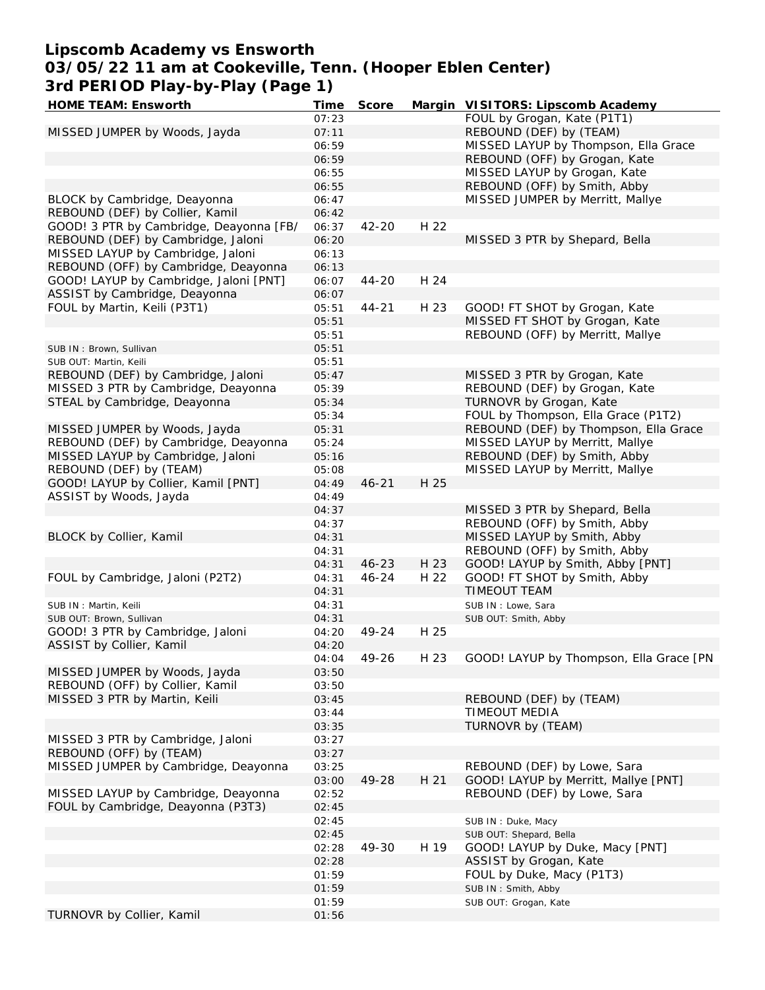# **Lipscomb Academy vs Ensworth**

**03/05/22 11 am at Cookeville, Tenn. (Hooper Eblen Center) 3rd PERIOD Play-by-Play (Page 1)**

| HOME TEAM: Ensworth                                                   | Time           | Score     |      | Margin VISITORS: Lipscomb Academy                                        |
|-----------------------------------------------------------------------|----------------|-----------|------|--------------------------------------------------------------------------|
|                                                                       | 07:23          |           |      | FOUL by Grogan, Kate (P1T1)                                              |
| MISSED JUMPER by Woods, Jayda                                         | 07:11          |           |      | REBOUND (DEF) by (TEAM)                                                  |
|                                                                       | 06:59          |           |      | MISSED LAYUP by Thompson, Ella Grace                                     |
|                                                                       | 06:59          |           |      | REBOUND (OFF) by Grogan, Kate                                            |
|                                                                       | 06:55          |           |      | MISSED LAYUP by Grogan, Kate                                             |
|                                                                       | 06:55          |           |      | REBOUND (OFF) by Smith, Abby                                             |
| BLOCK by Cambridge, Deayonna                                          | 06:47          |           |      | MISSED JUMPER by Merritt, Mallye                                         |
| REBOUND (DEF) by Collier, Kamil                                       | 06:42          |           |      |                                                                          |
| GOOD! 3 PTR by Cambridge, Deayonna [FB/                               | 06:37          | 42-20     | H 22 |                                                                          |
| REBOUND (DEF) by Cambridge, Jaloni                                    | 06:20          |           |      | MISSED 3 PTR by Shepard, Bella                                           |
| MISSED LAYUP by Cambridge, Jaloni                                     | 06:13          |           |      |                                                                          |
| REBOUND (OFF) by Cambridge, Deayonna                                  | 06:13          |           |      |                                                                          |
| GOOD! LAYUP by Cambridge, Jaloni [PNT]                                | 06:07          | $44 - 20$ | H 24 |                                                                          |
| ASSIST by Cambridge, Deayonna                                         | 06:07          |           |      |                                                                          |
| FOUL by Martin, Keili (P3T1)                                          | 05:51          | $44 - 21$ | H 23 | GOOD! FT SHOT by Grogan, Kate                                            |
|                                                                       | 05:51          |           |      | MISSED FT SHOT by Grogan, Kate                                           |
|                                                                       | 05:51          |           |      | REBOUND (OFF) by Merritt, Mallye                                         |
| SUB IN: Brown, Sullivan                                               | 05:51          |           |      |                                                                          |
| SUB OUT: Martin, Keili                                                | 05:51          |           |      |                                                                          |
| REBOUND (DEF) by Cambridge, Jaloni                                    | 05:47          |           |      | MISSED 3 PTR by Grogan, Kate                                             |
| MISSED 3 PTR by Cambridge, Deayonna                                   | 05:39          |           |      | REBOUND (DEF) by Grogan, Kate                                            |
| STEAL by Cambridge, Deayonna                                          | 05:34          |           |      | TURNOVR by Grogan, Kate                                                  |
|                                                                       | 05:34          |           |      | FOUL by Thompson, Ella Grace (P1T2)                                      |
| MISSED JUMPER by Woods, Jayda<br>REBOUND (DEF) by Cambridge, Deayonna | 05:31          |           |      | REBOUND (DEF) by Thompson, Ella Grace<br>MISSED LAYUP by Merritt, Mallye |
| MISSED LAYUP by Cambridge, Jaloni                                     | 05:24<br>05:16 |           |      | REBOUND (DEF) by Smith, Abby                                             |
| REBOUND (DEF) by (TEAM)                                               | 05:08          |           |      | MISSED LAYUP by Merritt, Mallye                                          |
| GOOD! LAYUP by Collier, Kamil [PNT]                                   | 04:49          | $46 - 21$ | H 25 |                                                                          |
| ASSIST by Woods, Jayda                                                | 04:49          |           |      |                                                                          |
|                                                                       | 04:37          |           |      | MISSED 3 PTR by Shepard, Bella                                           |
|                                                                       | 04:37          |           |      | REBOUND (OFF) by Smith, Abby                                             |
| BLOCK by Collier, Kamil                                               | 04:31          |           |      | MISSED LAYUP by Smith, Abby                                              |
|                                                                       | 04:31          |           |      | REBOUND (OFF) by Smith, Abby                                             |
|                                                                       | 04:31          | $46 - 23$ | H 23 | GOOD! LAYUP by Smith, Abby [PNT]                                         |
| FOUL by Cambridge, Jaloni (P2T2)                                      | 04:31          | $46 - 24$ | H 22 | GOOD! FT SHOT by Smith, Abby                                             |
|                                                                       | 04:31          |           |      | <b>TIMEOUT TEAM</b>                                                      |
| SUB IN : Martin, Keili                                                | 04:31          |           |      | SUB IN: Lowe, Sara                                                       |
| SUB OUT: Brown, Sullivan                                              | 04:31          |           |      | SUB OUT: Smith, Abby                                                     |
| GOOD! 3 PTR by Cambridge, Jaloni                                      | 04:20          | 49-24     | H 25 |                                                                          |
| ASSIST by Collier, Kamil                                              | 04:20          |           |      |                                                                          |
|                                                                       | 04:04          | 49-26     | H 23 | GOOD! LAYUP by Thompson, Ella Grace [PN                                  |
| MISSED JUMPER by Woods, Jayda                                         | 03:50          |           |      |                                                                          |
| REBOUND (OFF) by Collier, Kamil                                       | 03:50          |           |      |                                                                          |
| MISSED 3 PTR by Martin, Keili                                         | 03:45          |           |      | REBOUND (DEF) by (TEAM)                                                  |
|                                                                       | 03:44          |           |      | TIMEOUT MEDIA                                                            |
|                                                                       | 03:35          |           |      | TURNOVR by (TEAM)                                                        |
| MISSED 3 PTR by Cambridge, Jaloni                                     | 03:27          |           |      |                                                                          |
| REBOUND (OFF) by (TEAM)                                               | 03:27          |           |      |                                                                          |
| MISSED JUMPER by Cambridge, Deayonna                                  | 03:25          |           |      | REBOUND (DEF) by Lowe, Sara                                              |
|                                                                       | 03:00          | 49-28     | H 21 | GOOD! LAYUP by Merritt, Mallye [PNT]                                     |
| MISSED LAYUP by Cambridge, Deayonna                                   | 02:52          |           |      | REBOUND (DEF) by Lowe, Sara                                              |
| FOUL by Cambridge, Deayonna (P3T3)                                    | 02:45          |           |      |                                                                          |
|                                                                       | 02:45          |           |      | SUB IN: Duke, Macy                                                       |
|                                                                       | 02:45          |           |      | SUB OUT: Shepard, Bella                                                  |
|                                                                       | 02:28          | 49-30     | H 19 | GOOD! LAYUP by Duke, Macy [PNT]                                          |
|                                                                       | 02:28          |           |      | ASSIST by Grogan, Kate                                                   |
|                                                                       | 01:59          |           |      | FOUL by Duke, Macy (P1T3)                                                |
|                                                                       | 01:59          |           |      | SUB IN: Smith, Abby                                                      |
|                                                                       | 01:59          |           |      | SUB OUT: Grogan, Kate                                                    |
| TURNOVR by Collier, Kamil                                             | 01:56          |           |      |                                                                          |
|                                                                       |                |           |      |                                                                          |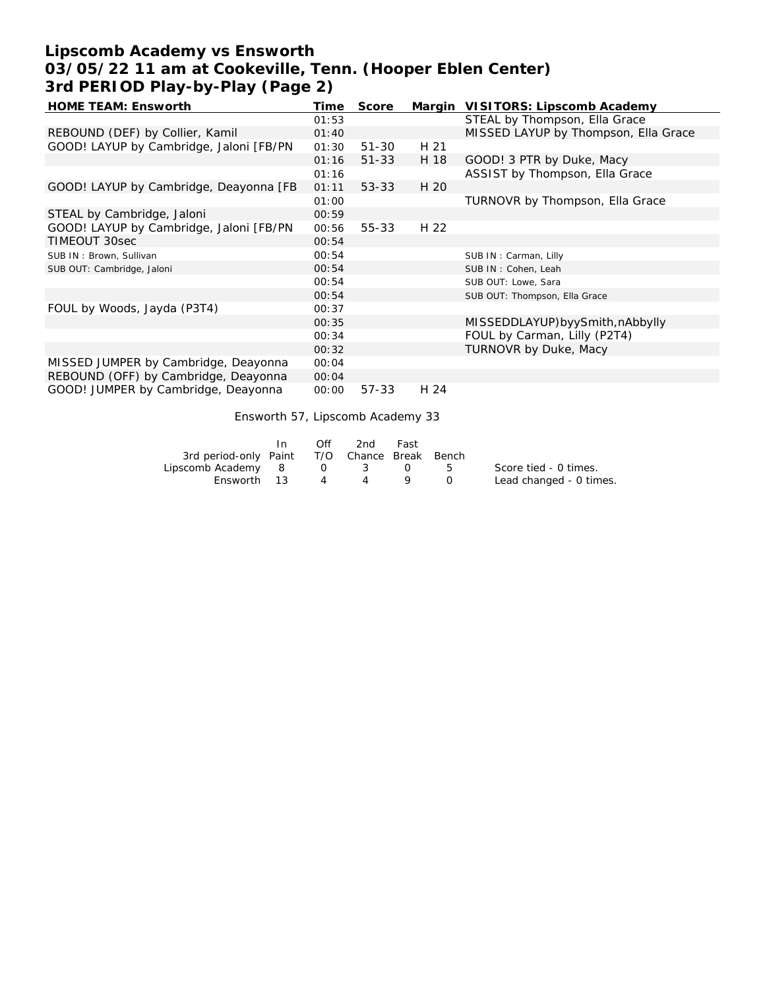# **Lipscomb Academy vs Ensworth 03/05/22 11 am at Cookeville, Tenn. (Hooper Eblen Center) 3rd PERIOD Play-by-Play (Page 2)**

| HOME TEAM: Ensworth                     | Time  | Score     |      | Margin VISITORS: Lipscomb Academy    |
|-----------------------------------------|-------|-----------|------|--------------------------------------|
|                                         | 01:53 |           |      | STEAL by Thompson, Ella Grace        |
| REBOUND (DEF) by Collier, Kamil         | 01:40 |           |      | MISSED LAYUP by Thompson, Ella Grace |
| GOOD! LAYUP by Cambridge, Jaloni [FB/PN | 01:30 | $51 - 30$ | H 21 |                                      |
|                                         | 01:16 | $51 - 33$ | H 18 | GOOD! 3 PTR by Duke, Macy            |
|                                         | 01:16 |           |      | ASSIST by Thompson, Ella Grace       |
| GOOD! LAYUP by Cambridge, Deayonna [FB  | 01:11 | $53 - 33$ | H 20 |                                      |
|                                         | 01:00 |           |      | TURNOVR by Thompson, Ella Grace      |
| STEAL by Cambridge, Jaloni              | 00:59 |           |      |                                      |
| GOOD! LAYUP by Cambridge, Jaloni [FB/PN | 00:56 | $55 - 33$ | H 22 |                                      |
| TIMEOUT 30sec                           | 00:54 |           |      |                                      |
| SUB IN: Brown, Sullivan                 | 00:54 |           |      | SUB IN: Carman, Lilly                |
| SUB OUT: Cambridge, Jaloni              | 00:54 |           |      | SUB IN: Cohen, Leah                  |
|                                         | 00:54 |           |      | SUB OUT: Lowe, Sara                  |
|                                         | 00:54 |           |      | SUB OUT: Thompson, Ella Grace        |
| FOUL by Woods, Jayda (P3T4)             | 00:37 |           |      |                                      |
|                                         | 00:35 |           |      | MISSEDDLAYUP)byySmith, nAbbylly      |
|                                         | 00:34 |           |      | FOUL by Carman, Lilly (P2T4)         |
|                                         | 00:32 |           |      | TURNOVR by Duke, Macy                |
| MISSED JUMPER by Cambridge, Deayonna    | 00:04 |           |      |                                      |
| REBOUND (OFF) by Cambridge, Deayonna    | 00:04 |           |      |                                      |
| GOOD! JUMPER by Cambridge, Deayonna     | 00:00 | 57-33     | H 24 |                                      |

Ensworth 57, Lipscomb Academy 33

|                                              | In. | Off | 2nd -   | Fast |                         |
|----------------------------------------------|-----|-----|---------|------|-------------------------|
| 3rd period-only Paint T/O Chance Break Bench |     |     |         |      |                         |
| Lipscomb Academy 8                           |     |     | 0 3 0 5 |      | Score tied - 0 times.   |
| Ensworth 13                                  |     |     | 4 4     |      | Lead changed - 0 times. |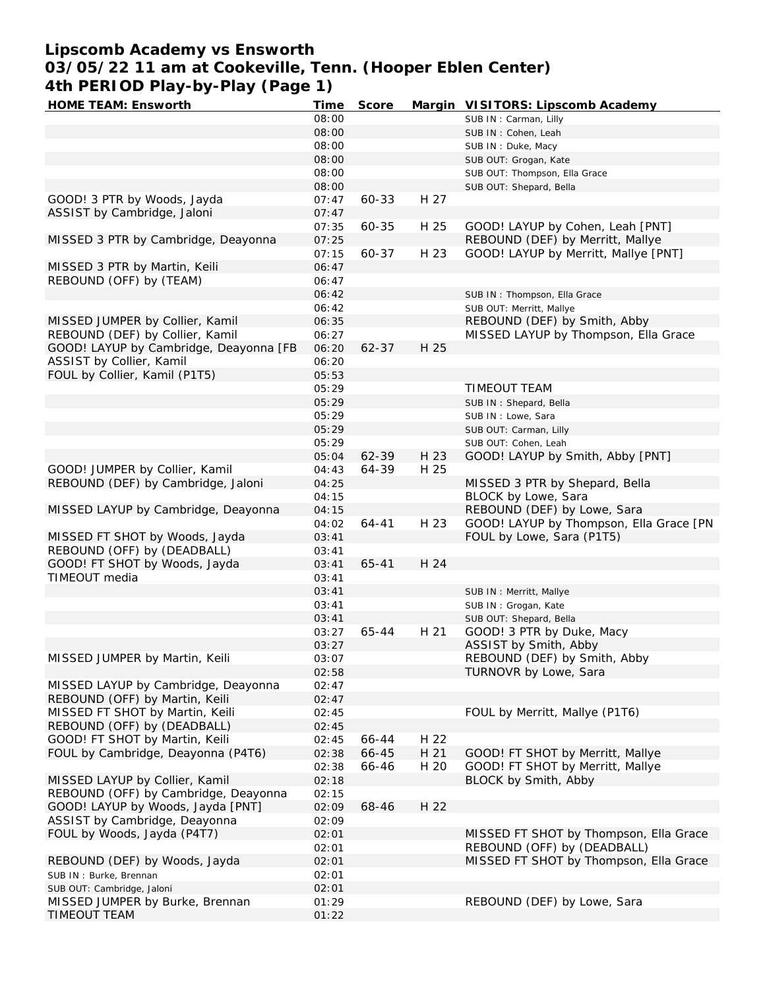# **Lipscomb Academy vs Ensworth**

**03/05/22 11 am at Cookeville, Tenn. (Hooper Eblen Center) 4th PERIOD Play-by-Play (Page 1)**

| HOME TEAM: Ensworth                    | Time  | Score     |      | Margin VISITORS: Lipscomb Academy       |
|----------------------------------------|-------|-----------|------|-----------------------------------------|
|                                        | 08:00 |           |      | SUB IN: Carman, Lilly                   |
|                                        | 08:00 |           |      | SUB IN: Cohen, Leah                     |
|                                        | 08:00 |           |      | SUB IN : Duke, Macy                     |
|                                        | 08:00 |           |      | SUB OUT: Grogan, Kate                   |
|                                        | 08:00 |           |      | SUB OUT: Thompson, Ella Grace           |
|                                        | 08:00 |           |      | SUB OUT: Shepard, Bella                 |
| GOOD! 3 PTR by Woods, Jayda            | 07:47 | 60-33     | H 27 |                                         |
| ASSIST by Cambridge, Jaloni            | 07:47 |           |      |                                         |
|                                        | 07:35 | 60-35     | H 25 | GOOD! LAYUP by Cohen, Leah [PNT]        |
| MISSED 3 PTR by Cambridge, Deayonna    | 07:25 |           |      | REBOUND (DEF) by Merritt, Mallye        |
|                                        | 07:15 | 60-37     | H 23 | GOOD! LAYUP by Merritt, Mallye [PNT]    |
| MISSED 3 PTR by Martin, Keili          | 06:47 |           |      |                                         |
| REBOUND (OFF) by (TEAM)                | 06:47 |           |      |                                         |
|                                        | 06:42 |           |      | SUB IN: Thompson, Ella Grace            |
|                                        | 06:42 |           |      | SUB OUT: Merritt, Mallye                |
| MISSED JUMPER by Collier, Kamil        | 06:35 |           |      | REBOUND (DEF) by Smith, Abby            |
| REBOUND (DEF) by Collier, Kamil        | 06:27 |           |      | MISSED LAYUP by Thompson, Ella Grace    |
| GOOD! LAYUP by Cambridge, Deayonna [FB | 06:20 | $62 - 37$ | H 25 |                                         |
| ASSIST by Collier, Kamil               |       |           |      |                                         |
|                                        | 06:20 |           |      |                                         |
| FOUL by Collier, Kamil (P1T5)          | 05:53 |           |      |                                         |
|                                        | 05:29 |           |      | TIMEOUT TEAM                            |
|                                        | 05:29 |           |      | SUB IN: Shepard, Bella                  |
|                                        | 05:29 |           |      | SUB IN: Lowe, Sara                      |
|                                        | 05:29 |           |      | SUB OUT: Carman, Lilly                  |
|                                        | 05:29 |           |      | SUB OUT: Cohen, Leah                    |
|                                        | 05:04 | 62-39     | H 23 | GOOD! LAYUP by Smith, Abby [PNT]        |
| GOOD! JUMPER by Collier, Kamil         | 04:43 | 64-39     | H 25 |                                         |
| REBOUND (DEF) by Cambridge, Jaloni     | 04:25 |           |      | MISSED 3 PTR by Shepard, Bella          |
|                                        | 04:15 |           |      | BLOCK by Lowe, Sara                     |
| MISSED LAYUP by Cambridge, Deayonna    | 04:15 |           |      | REBOUND (DEF) by Lowe, Sara             |
|                                        | 04:02 | $64 - 41$ | H 23 | GOOD! LAYUP by Thompson, Ella Grace [PN |
| MISSED FT SHOT by Woods, Jayda         | 03:41 |           |      | FOUL by Lowe, Sara (P1T5)               |
| REBOUND (OFF) by (DEADBALL)            | 03:41 |           |      |                                         |
| GOOD! FT SHOT by Woods, Jayda          | 03:41 | $65 - 41$ | H 24 |                                         |
| TIMEOUT media                          | 03:41 |           |      |                                         |
|                                        | 03:41 |           |      | SUB IN: Merritt, Mallye                 |
|                                        | 03:41 |           |      | SUB IN: Grogan, Kate                    |
|                                        | 03:41 |           |      | SUB OUT: Shepard, Bella                 |
|                                        | 03:27 | 65-44     | H 21 | GOOD! 3 PTR by Duke, Macy               |
|                                        | 03:27 |           |      | ASSIST by Smith, Abby                   |
| MISSED JUMPER by Martin, Keili         | 03:07 |           |      | REBOUND (DEF) by Smith, Abby            |
|                                        | 02:58 |           |      | TURNOVR by Lowe, Sara                   |
| MISSED LAYUP by Cambridge, Deayonna    | 02:47 |           |      |                                         |
| REBOUND (OFF) by Martin, Keili         | 02:47 |           |      |                                         |
| MISSED FT SHOT by Martin, Keili        | 02:45 |           |      | FOUL by Merritt, Mallye (P1T6)          |
| REBOUND (OFF) by (DEADBALL)            |       |           |      |                                         |
|                                        | 02:45 |           |      |                                         |
| GOOD! FT SHOT by Martin, Keili         | 02:45 | 66-44     | H 22 |                                         |
| FOUL by Cambridge, Deayonna (P4T6)     | 02:38 | 66-45     | H 21 | GOOD! FT SHOT by Merritt, Mallye        |
|                                        | 02:38 | 66-46     | H 20 | GOOD! FT SHOT by Merritt, Mallye        |
| MISSED LAYUP by Collier, Kamil         | 02:18 |           |      | BLOCK by Smith, Abby                    |
| REBOUND (OFF) by Cambridge, Deayonna   | 02:15 |           |      |                                         |
| GOOD! LAYUP by Woods, Jayda [PNT]      | 02:09 | 68-46     | H 22 |                                         |
| ASSIST by Cambridge, Deayonna          | 02:09 |           |      |                                         |
| FOUL by Woods, Jayda (P4T7)            | 02:01 |           |      | MISSED FT SHOT by Thompson, Ella Grace  |
|                                        | 02:01 |           |      | REBOUND (OFF) by (DEADBALL)             |
| REBOUND (DEF) by Woods, Jayda          | 02:01 |           |      | MISSED FT SHOT by Thompson, Ella Grace  |
| SUB IN: Burke, Brennan                 | 02:01 |           |      |                                         |
| SUB OUT: Cambridge, Jaloni             | 02:01 |           |      |                                         |
| MISSED JUMPER by Burke, Brennan        | 01:29 |           |      | REBOUND (DEF) by Lowe, Sara             |
| TIMEOUT TEAM                           | 01:22 |           |      |                                         |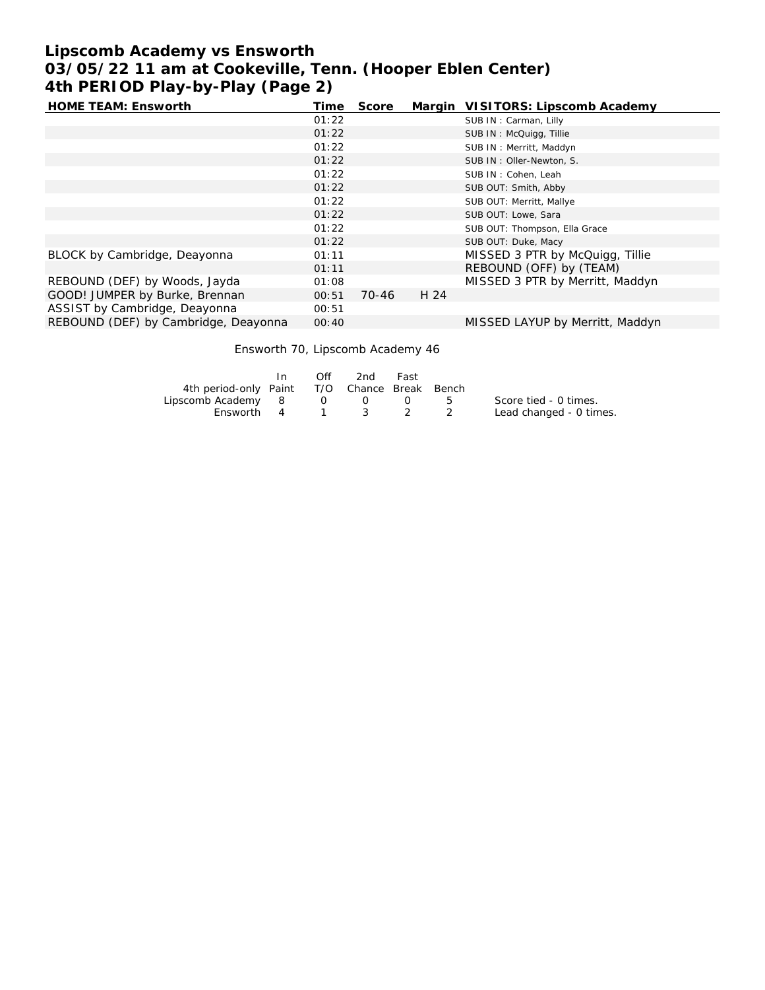# **Lipscomb Academy vs Ensworth 03/05/22 11 am at Cookeville, Tenn. (Hooper Eblen Center) 4th PERIOD Play-by-Play (Page 2)**

| HOME TEAM: Ensworth                  | Time  | Score |      | Margin VISITORS: Lipscomb Academy |
|--------------------------------------|-------|-------|------|-----------------------------------|
|                                      | 01:22 |       |      | SUB IN: Carman, Lilly             |
|                                      | 01:22 |       |      | SUB IN: McQuigg, Tillie           |
|                                      | 01:22 |       |      | SUB IN: Merritt, Maddyn           |
|                                      | 01:22 |       |      | SUB IN: Oller-Newton, S.          |
|                                      | 01:22 |       |      | SUB IN: Cohen, Leah               |
|                                      | 01:22 |       |      | SUB OUT: Smith, Abby              |
|                                      | 01:22 |       |      | SUB OUT: Merritt, Mallye          |
|                                      | 01:22 |       |      | SUB OUT: Lowe, Sara               |
|                                      | 01:22 |       |      | SUB OUT: Thompson, Ella Grace     |
|                                      | 01:22 |       |      | SUB OUT: Duke, Macy               |
| BLOCK by Cambridge, Deayonna         | 01:11 |       |      | MISSED 3 PTR by McQuigg, Tillie   |
|                                      | 01:11 |       |      | REBOUND (OFF) by (TEAM)           |
| REBOUND (DEF) by Woods, Jayda        | 01:08 |       |      | MISSED 3 PTR by Merritt, Maddyn   |
| GOOD! JUMPER by Burke, Brennan       | 00:51 | 70-46 | H 24 |                                   |
| ASSIST by Cambridge, Deayonna        | 00:51 |       |      |                                   |
| REBOUND (DEF) by Cambridge, Deayonna | 00:40 |       |      | MISSED LAYUP by Merritt, Maddyn   |

# Ensworth 70, Lipscomb Academy 46

|                                              | In. | $\bigcap$ ff     | 2nd | Fast |         |                         |
|----------------------------------------------|-----|------------------|-----|------|---------|-------------------------|
| 4th period-only Paint T/O Chance Break Bench |     |                  |     |      |         |                         |
| Lipscomb Academy 8                           |     | $\overline{0}$ 0 |     |      | $5 - 5$ | Score tied - 0 times.   |
| Ensworth 4 1 3                               |     |                  |     |      |         | Lead changed - 0 times. |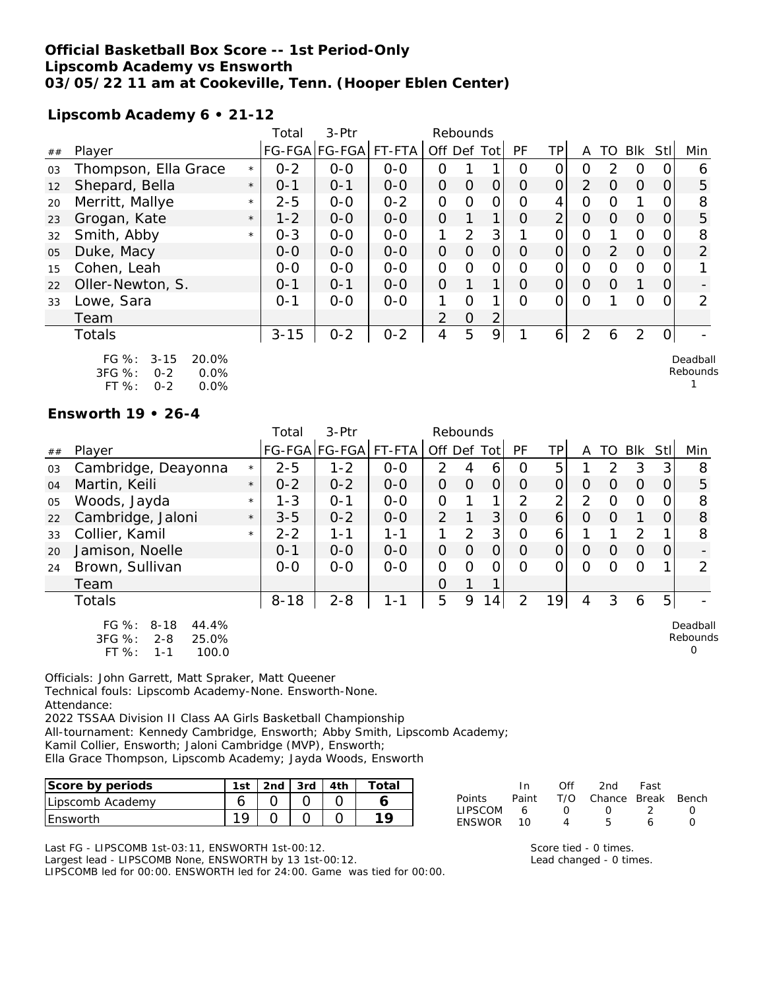### **Official Basketball Box Score -- 1st Period-Only Lipscomb Academy vs Ensworth 03/05/22 11 am at Cookeville, Tenn. (Hooper Eblen Center)**

**Lipscomb Academy 6 • 21-12**

|    |                                                                                        |         | Total    | 3-Ptr         |         | Rebounds       |                |                |           |                |                |          |                |          |                      |
|----|----------------------------------------------------------------------------------------|---------|----------|---------------|---------|----------------|----------------|----------------|-----------|----------------|----------------|----------|----------------|----------|----------------------|
| ## | Player                                                                                 |         |          | FG-FGA FG-FGA | FT-FTA  | Off Def Tot    |                |                | <b>PF</b> | <b>TP</b>      | A              | TO       | Blk            | Stll     | Min                  |
| 03 | Thompson, Ella Grace                                                                   | $\star$ | $0 - 2$  | $0 - 0$       | $0 - 0$ | 0              |                |                | 0         | O              | 0              | 2        | 0              | O        | 6                    |
| 12 | Shepard, Bella                                                                         | $\star$ | $0 - 1$  | $O - 1$       | $0 - 0$ | $\overline{O}$ | $\overline{O}$ | 0              | $\Omega$  | $\overline{O}$ | 2              | $\Omega$ | $\Omega$       | 0        | 5                    |
| 20 | Merritt, Mallye                                                                        | $\star$ | $2 - 5$  | $0-0$         | $0 - 2$ | $\overline{O}$ | $\mathbf{O}$   | $\overline{O}$ | O         | 4              | $\Omega$       | 0        | 1              | 0        | 8                    |
| 23 | Grogan, Kate                                                                           | $\star$ | $1 - 2$  | $0-0$         | $0-0$   | $\overline{O}$ |                | 1              | 0         | $\overline{2}$ | $\overline{O}$ | $\Omega$ | $\Omega$       | 0        | 5                    |
| 32 | Smith, Abby                                                                            | $\star$ | $0 - 3$  | $0-0$         | $O-O$   | $\mathbf{1}$   | 2              | 3              |           | 0              | $\mathcal{O}$  |          | $\Omega$       | 0        | 8                    |
| 05 | Duke, Macy                                                                             |         | $0 - 0$  | $O-O$         | $O-O$   | $\overline{O}$ | $\overline{O}$ | $\overline{O}$ | $\Omega$  | $\overline{O}$ | $\Omega$       | 2        | $\Omega$       | 0        | 2                    |
| 15 | Cohen, Leah                                                                            |         | $0-0$    | $O-O$         | $O-O$   | $\overline{O}$ | $\mathbf{O}$   | $\mathbf{O}$   | 0         | 0              | $\Omega$       | 0        | $\Omega$       | 0        |                      |
| 22 | Oller-Newton, S.                                                                       |         | $0 - 1$  | $0 - 1$       | $O-O$   | $\overline{O}$ |                | 1              | $\Omega$  | $\Omega$       | $\Omega$       | $\Omega$ |                | 0        |                      |
| 33 | Lowe, Sara                                                                             |         | $0 - 1$  | $0-0$         | $0-0$   | 1              | $\Omega$       | 1              | $\Omega$  | $\Omega$       | $\Omega$       |          | $\Omega$       | 0        | 2                    |
|    | Team                                                                                   |         |          |               |         | 2              | $\overline{O}$ | 2              |           |                |                |          |                |          |                      |
|    | <b>Totals</b>                                                                          |         | $3 - 15$ | $0 - 2$       | $0 - 2$ | 4              | 5              | 9              |           | 6              | $\mathcal{P}$  | 6        | $\overline{2}$ | $\Omega$ |                      |
|    | FG $%$ :<br>$3 - 15$<br>20.0%<br>3FG %:<br>0.0%<br>$0 - 2$<br>FT %:<br>$0 - 2$<br>0.0% |         |          |               |         |                |                |                |           |                |                |          |                |          | Deadball<br>Rebounds |

#### **Ensworth 19 • 26-4**

|    |                                                                                       |         | Total    | 3-Ptr                |         | Rebounds    |               |                |           |     |                |                  |               |          |                                  |
|----|---------------------------------------------------------------------------------------|---------|----------|----------------------|---------|-------------|---------------|----------------|-----------|-----|----------------|------------------|---------------|----------|----------------------------------|
| ## | Player                                                                                |         |          | FG-FGA FG-FGA FT-FTA |         | Off Def Tot |               |                | <b>PF</b> | TPI | A              | TO.              | Blk           | Stll     | Min                              |
| 03 | Cambridge, Deayonna                                                                   | $\star$ | $2 - 5$  | $1 - 2$              | $0 - 0$ | 2           | 4             | 6              | Ω         | 5   |                | $\mathcal{P}$    | 3             | 3        | 8                                |
| 04 | Martin, Keili                                                                         | $\star$ | $0 - 2$  | $0 - 2$              | $0 - 0$ | $\Omega$    | $\Omega$      | 0              | $\Omega$  | 0   | O              | Ω                | $\Omega$      | $\Omega$ | 5                                |
| 05 | Woods, Jayda                                                                          | $\star$ | $1 - 3$  | $0 - 1$              | $0 - 0$ | 0           |               | 1              | 2         | 2   | $\overline{2}$ | O                | O             | O        | 8                                |
| 22 | Cambridge, Jaloni                                                                     | $\star$ | $3 - 5$  | $0 - 2$              | $0 - 0$ | 2           |               | 3 <sup>1</sup> | O         | 6   | $\Omega$       | $\left( \right)$ |               | 0        | 8                                |
| 33 | Collier, Kamil                                                                        | $\star$ | $2 - 2$  | $1 - 1$              | $1 - 1$ |             | $\mathcal{P}$ | 3              | 0         | 6   |                |                  | $\mathcal{P}$ |          | 8                                |
| 20 | Jamison, Noelle                                                                       |         | $0 - 1$  | $0 - 0$              | $0 - 0$ | $\Omega$    | $\Omega$      | $\overline{O}$ | O         | 0   | O              | $\Omega$         | $\Omega$      | 0        |                                  |
| 24 | Brown, Sullivan                                                                       |         | $0-0$    | $0-0$                | $0-0$   | 0           | O             | 0              | ∩         | Ω   | Ω              |                  | Ω             |          | ∍                                |
|    | Team                                                                                  |         |          |                      |         | $\Omega$    |               | 1              |           |     |                |                  |               |          |                                  |
|    | <b>Totals</b>                                                                         |         | $8 - 18$ | $2 - 8$              | 1-1     | 5           | 9             | 14             | 2         | 19  | 4              | 3                | 6             | 5        |                                  |
|    | $FG \%$ :<br>$8 - 18$<br>44.4%<br>3FG %:<br>$2 - 8$<br>25.0%<br>FT %:<br>100.0<br>1-1 |         |          |                      |         |             |               |                |           |     |                |                  |               |          | Deadball<br>Rebounds<br>$\Omega$ |

Officials: John Garrett, Matt Spraker, Matt Queener Technical fouls: Lipscomb Academy-None. Ensworth-None. Attendance: 2022 TSSAA Division II Class AA Girls Basketball Championship

All-tournament: Kennedy Cambridge, Ensworth; Abby Smith, Lipscomb Academy;

Kamil Collier, Ensworth; Jaloni Cambridge (MVP), Ensworth;

Ella Grace Thompson, Lipscomb Academy; Jayda Woods, Ensworth

| Score by periods  | 1st | 2nd | $3rd$   4th | $\tau$ otal |
|-------------------|-----|-----|-------------|-------------|
| ILipscomb Academy |     |     |             |             |
| <b>I Ensworth</b> |     |     |             |             |

Last FG - LIPSCOMB 1st-03:11, ENSWORTH 1st-00:12. Largest lead - LIPSCOMB None, ENSWORTH by 13 1st-00:12. LIPSCOMB led for 00:00. ENSWORTH led for 24:00. Game was tied for 00:00.

|                | In In | Off              | 2nd -                  | Fast          |  |
|----------------|-------|------------------|------------------------|---------------|--|
| Points         | Paint |                  | T/O Chance Break Bench |               |  |
| <b>LIPSCOM</b> | 6     | $\left( \right)$ | $\cup$                 | $\mathcal{L}$ |  |
| ENSWOR         | 10.   | 4                | Б.                     | Ь             |  |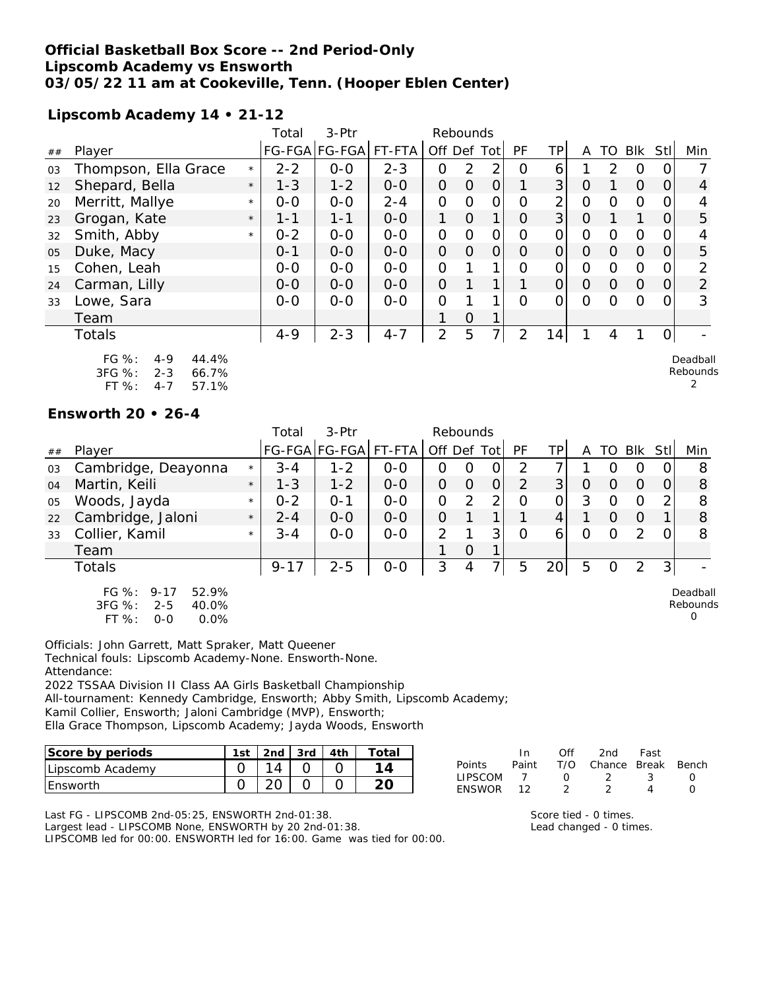### **Official Basketball Box Score -- 2nd Period-Only Lipscomb Academy vs Ensworth 03/05/22 11 am at Cookeville, Tenn. (Hooper Eblen Center)**

## **Lipscomb Academy 14 • 21-12**

|    |                                                                                          |         | Total   | 3-Ptr         |         | Rebounds       |                |                |                |                |                |               |          |                |                           |
|----|------------------------------------------------------------------------------------------|---------|---------|---------------|---------|----------------|----------------|----------------|----------------|----------------|----------------|---------------|----------|----------------|---------------------------|
| ## | Player                                                                                   |         |         | FG-FGA FG-FGA | FT-FTA  | Off Def Tot    |                |                | <b>PF</b>      | <b>TP</b>      | A              | <b>TO</b>     | Blk      | Stll           | Min                       |
| 03 | Thompson, Ella Grace                                                                     | $\star$ | $2 - 2$ | $0 - 0$       | $2 - 3$ | O              | 2              | 2              | O              | 6              |                | $\mathcal{P}$ | 0        | 0              |                           |
| 12 | Shepard, Bella                                                                           | $\star$ | $1 - 3$ | $1 - 2$       | $0-0$   | $\mathcal{O}$  | $\overline{O}$ | $\overline{O}$ |                | 3 <sup>1</sup> | $\overline{O}$ |               | $\Omega$ | 0              | 4                         |
| 20 | Merritt, Mallye                                                                          | $\star$ | $0 - 0$ | $O-O$         | $2 - 4$ | $\overline{O}$ | $\mathbf{O}$   | $\Omega$       | $\overline{O}$ | $\overline{2}$ | $\Omega$       | 0             | $\Omega$ | 0              |                           |
| 23 | Grogan, Kate                                                                             | $\star$ | $1 - 1$ | $1 - 1$       | $O - O$ | 1              | $\overline{O}$ | 1              | $\Omega$       | 3 <sup>1</sup> | $\Omega$       |               |          | 0              | 5                         |
| 32 | Smith, Abby                                                                              | $\star$ | $0 - 2$ | $0-0$         | $O-O$   | $\overline{O}$ | $\mathbf{O}$   | $\mathbf{O}$   | 0              | $\Omega$       | $\overline{O}$ | 0             | $\Omega$ | 0              | 4                         |
| 05 | Duke, Macy                                                                               |         | $0 - 1$ | $O-O$         | $O-O$   | $\overline{O}$ | $\overline{O}$ | $\overline{O}$ | $\Omega$       | $\Omega$       | $\Omega$       | $\Omega$      | $\Omega$ | 0              | 5                         |
| 15 | Cohen, Leah                                                                              |         | $0-0$   | $O-O$         | $0-0$   | $\overline{O}$ |                |                | $\overline{O}$ | 0              | $\Omega$       | $\Omega$      | $\Omega$ | 0              | 2                         |
| 24 | Carman, Lilly                                                                            |         | $0-0$   | $0-0$         | $O-O$   | $\overline{O}$ |                |                |                | $\Omega$       | $\overline{O}$ | $\Omega$      | $\Omega$ | $\Omega$       | $\overline{2}$            |
| 33 | Lowe, Sara                                                                               |         | $0-0$   | $0-0$         | $0-0$   | $\overline{O}$ |                |                | $\overline{O}$ | $\Omega$       | $\Omega$       | $\Omega$      | $\Omega$ | 0              | 3                         |
|    | Team                                                                                     |         |         |               |         | 1              | $\Omega$       |                |                |                |                |               |          |                |                           |
|    | <b>Totals</b>                                                                            |         | $4 - 9$ | $2 - 3$       | $4 - 7$ | 2              | 5              | $\overline{7}$ | 2              | 14             | 1              | 4             |          | $\overline{O}$ |                           |
|    | $FG \%$ :<br>44.4%<br>$4 - 9$<br>3FG %:<br>$2 - 3$<br>66.7%<br>FT %:<br>57.1%<br>$4 - 7$ |         |         |               |         |                |                |                |                |                |                |               |          |                | Deadball<br>Rebounds<br>2 |

#### **Ensworth 20 • 26-4**

|    |                                                                                        |         | Total    | 3-Ptr         |         | Rebounds      |   |    |           |     |   |    |               |                |                           |
|----|----------------------------------------------------------------------------------------|---------|----------|---------------|---------|---------------|---|----|-----------|-----|---|----|---------------|----------------|---------------------------|
| ## | Player                                                                                 |         |          | FG-FGA FG-FGA | FT-FTA  | Off Def Tot   |   |    | <b>PF</b> | TP. | A | TO | <b>Blk</b>    | Stll           | Min                       |
| 03 | Cambridge, Deayonna                                                                    | $\star$ | $3 - 4$  | $1 - 2$       | $0 - 0$ | 0             | O | Ő  | 2         |     |   |    | 0             |                | 8                         |
| 04 | Martin, Keili                                                                          | $\star$ | $1 - 3$  | $1 - 2$       | $0 - 0$ | 0             | O | 0  | 2         | 3   | O | O  | O             |                | 8                         |
| 05 | Woods, Jayda                                                                           | $\star$ | $0 - 2$  | $O - 1$       | $0 - 0$ | 0             | 2 | っ  | 0         |     | 3 |    | O             |                | 8                         |
| 22 | Cambridge, Jaloni                                                                      | $\star$ | $2 - 4$  | $0-0$         | $0-0$   | 0             |   | ┒  |           | 4   |   | O  | $\Omega$      |                | 8                         |
| 33 | Collier, Kamil                                                                         | $\star$ | $3 - 4$  | $0 - 0$       | $0 - 0$ | $\mathcal{P}$ |   | 3  | O         | 6   | Ω | Ω  | $\mathcal{P}$ |                | 8                         |
|    | Team                                                                                   |         |          |               |         |               | Ο | 1  |           |     |   |    |               |                |                           |
|    | <b>Totals</b>                                                                          |         | $9 - 17$ | $2 - 5$       | $0 - 0$ | 3             | 4 | 71 | 5         | 20  | 5 | 0  | 2             | 3 <sup>1</sup> |                           |
|    | FG $\%$ :<br>$9 - 17$<br>52.9%<br>3FG %:<br>$2 - 5$<br>40.0%<br>FT %:<br>0.0%<br>$O-O$ |         |          |               |         |               |   |    |           |     |   |    |               |                | Deadball<br>Rebounds<br>O |

Officials: John Garrett, Matt Spraker, Matt Queener Technical fouls: Lipscomb Academy-None. Ensworth-None. Attendance:

2022 TSSAA Division II Class AA Girls Basketball Championship All-tournament: Kennedy Cambridge, Ensworth; Abby Smith, Lipscomb Academy; Kamil Collier, Ensworth; Jaloni Cambridge (MVP), Ensworth; Ella Grace Thompson, Lipscomb Academy; Jayda Woods, Ensworth

| Score by periods | 1st | . 2nd ˈ | . 3rd I | 4th |  |
|------------------|-----|---------|---------|-----|--|
| Lipscomb Academy |     |         |         |     |  |
| <b>IEnsworth</b> |     |         |         |     |  |

| Points         | In.<br>Paint | Off        | 2nd -<br>T/O Chance Break Bench | Fast |  |
|----------------|--------------|------------|---------------------------------|------|--|
| <b>LIPSCOM</b> |              | $^{\circ}$ | $\mathcal{L}$                   | -3   |  |
| FNSWOR         | - 12         |            |                                 |      |  |
|                |              |            |                                 |      |  |

Last FG - LIPSCOMB 2nd-05:25, ENSWORTH 2nd-01:38. Largest lead - LIPSCOMB None, ENSWORTH by 20 2nd-01:38. LIPSCOMB led for 00:00. ENSWORTH led for 16:00. Game was tied for 00:00.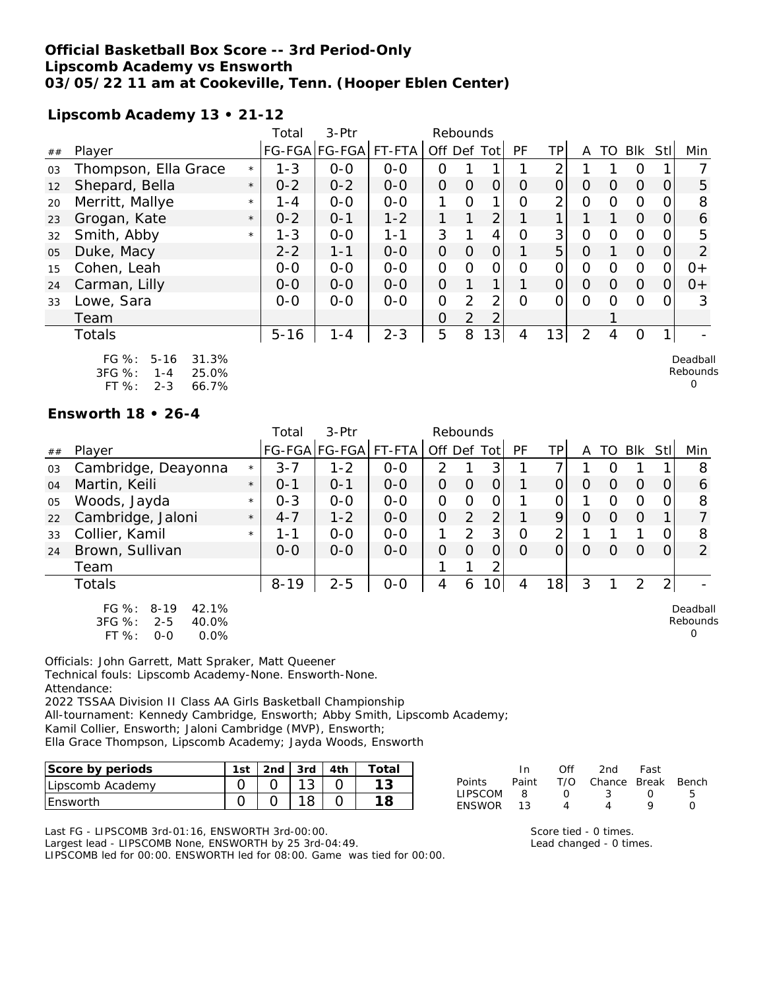## **Official Basketball Box Score -- 3rd Period-Only Lipscomb Academy vs Ensworth 03/05/22 11 am at Cookeville, Tenn. (Hooper Eblen Center)**

### **Lipscomb Academy 13 • 21-12**

|    |                                                                                          |         | Total    | 3-Ptr         |         | Rebounds       |                |                 |                |                |                |          |          |                |                           |
|----|------------------------------------------------------------------------------------------|---------|----------|---------------|---------|----------------|----------------|-----------------|----------------|----------------|----------------|----------|----------|----------------|---------------------------|
| ## | Player                                                                                   |         |          | FG-FGA FG-FGA | FT-FTA  | Off Def Tot    |                |                 | <b>PF</b>      | TP             | A              | TO       | Blk Stl  |                | Min                       |
| 03 | Thompson, Ella Grace                                                                     | $\star$ | $1 - 3$  | $O-O$         | $0-0$   | 0              |                |                 |                | 2              |                |          | O        |                |                           |
| 12 | Shepard, Bella                                                                           | $\star$ | $0 - 2$  | $0 - 2$       | $0-0$   | $\overline{O}$ | $\overline{O}$ | $\mathbf{O}$    | 0              | $\Omega$       | 0              | 0        | $\Omega$ | $\overline{O}$ | 5                         |
| 20 | Merritt, Mallye                                                                          | $\star$ | $1 - 4$  | $O-O$         | $0-0$   | 1              | O              |                 | Ω              | $\overline{2}$ | $\Omega$       | $\Omega$ | $\Omega$ | 0              | 8                         |
| 23 | Grogan, Kate                                                                             | $\star$ | $0 - 2$  | $0 - 1$       | $1 - 2$ | 1              | $\mathbf{1}$   | $\overline{2}$  |                | 1.             |                |          | $\Omega$ | $\overline{O}$ | 6                         |
| 32 | Smith, Abby                                                                              | $\star$ | $1 - 3$  | $O-O$         | $1 - 1$ | 3              |                | 4               | $\overline{O}$ | 3              | $\overline{O}$ | $\Omega$ | $\Omega$ | 0              | 5                         |
| 05 | Duke, Macy                                                                               |         | $2 - 2$  | $1 - 1$       | $O-O$   | $\overline{O}$ | $\overline{O}$ | $\overline{O}$  |                | 5 <sup>1</sup> | $\overline{O}$ |          | $\Omega$ | $\Omega$       | 2                         |
| 15 | Cohen, Leah                                                                              |         | $0 - 0$  | $O-O$         | $O-O$   | $\overline{O}$ | $\Omega$       | $\mathbf{O}$    | O              | $\Omega$       | $\Omega$       | $\Omega$ | $\Omega$ | $\Omega$       | $O+$                      |
| 24 | Carman, Lilly                                                                            |         | $0 - 0$  | $O-O$         | $O-O$   | $\overline{O}$ | 1              | 1               |                | $\Omega$       | $\Omega$       | $\Omega$ | $\Omega$ | $\Omega$       | $0+$                      |
| 33 | Lowe, Sara                                                                               |         | $O-O$    | $O-O$         | $O-O$   | $\overline{O}$ | $\overline{2}$ | $\overline{2}$  | $\Omega$       | $\Omega$       | $\Omega$       | $\Omega$ | $\Omega$ | 0              | 3                         |
|    | Team                                                                                     |         |          |               |         | $\mathbf 0$    | $\overline{2}$ | 2               |                |                |                |          |          |                |                           |
|    | Totals                                                                                   |         | $5 - 16$ | $1 - 4$       | $2 - 3$ | 5              | 8              | 13 <sup>1</sup> | 4              | 13             | 2              | 4        | O        | 1              |                           |
|    | FG $%$ :<br>$5 - 16$<br>31.3%<br>3FG %:<br>25.0%<br>$1 - 4$<br>FT %:<br>$2 - 3$<br>66.7% |         |          |               |         |                |                |                 |                |                |                |          |          |                | Deadball<br>Rebounds<br>O |

### **Ensworth 18 • 26-4**

|    |                                                                                          |         | Total    | 3-Ptr<br>Rebounds    |         |                |                |                 |           |                |          |          |            |                |                                  |
|----|------------------------------------------------------------------------------------------|---------|----------|----------------------|---------|----------------|----------------|-----------------|-----------|----------------|----------|----------|------------|----------------|----------------------------------|
| ## | Player                                                                                   |         |          | FG-FGA FG-FGA FT-FTA |         | Off Def Tot    |                |                 | <b>PF</b> | TPI            | A        |          | TO BIK StI |                | Min                              |
| 03 | Cambridge, Deayonna                                                                      | $\star$ | $3 - 7$  | $1 - 2$              | $0-0$   | 2              |                | 3               |           | ⇁              |          |          |            |                | 8                                |
| 04 | Martin, Keili                                                                            | $\star$ | $O - 1$  | $O - 1$              | $0 - 0$ | $\Omega$       | $\Omega$       | $\overline{O}$  |           | 0              | O        | $\Omega$ | $\Omega$   | 0              | 6                                |
| 05 | Woods, Jayda                                                                             | $\star$ | $0 - 3$  | $0 - 0$              | $0 - 0$ | 0              | O              | 0               |           | ΩI             |          | 0        | $\Omega$   | $\Omega$       | 8                                |
| 22 | Cambridge, Jaloni                                                                        | $\star$ | $4 - 7$  | $1 - 2$              | $0 - 0$ | $\overline{O}$ | $\overline{2}$ | $\overline{2}$  |           | 9              | $\Omega$ | $\Omega$ | $\Omega$   |                |                                  |
| 33 | Collier, Kamil                                                                           | $\star$ | 1-1      | $0 - 0$              | $0 - 0$ |                | $\overline{2}$ | 3               | 0         | $\overline{2}$ |          |          |            | O              | 8                                |
| 24 | Brown, Sullivan                                                                          |         | $0 - 0$  | $0 - 0$              | $0-0$   | 0              | O              | Ω               | O         | 0              | Ω        | O        | $\Omega$   | 0              | 2                                |
|    | Team                                                                                     |         |          |                      |         |                |                | 2               |           |                |          |          |            |                |                                  |
|    | <b>Totals</b>                                                                            |         | $8 - 19$ | $2 - 5$              | $0-0$   | 4              | 6              | 10 <sup>1</sup> | 4         | 18             | 3        |          | 2          | $\overline{2}$ |                                  |
|    | $FG \%$ :<br>42.1%<br>$8 - 19$<br>3FG %:<br>$2 - 5$<br>40.0%<br>FT %:<br>0.0%<br>$O - O$ |         |          |                      |         |                |                |                 |           |                |          |          |            |                | Deadball<br>Rebounds<br>$\Omega$ |

Officials: John Garrett, Matt Spraker, Matt Queener Technical fouls: Lipscomb Academy-None. Ensworth-None. Attendance:

2022 TSSAA Division II Class AA Girls Basketball Championship All-tournament: Kennedy Cambridge, Ensworth; Abby Smith, Lipscomb Academy; Kamil Collier, Ensworth; Jaloni Cambridge (MVP), Ensworth;

Ella Grace Thompson, Lipscomb Academy; Jayda Woods, Ensworth

| Score by periods | 1st | .2nd | $3rd$ | ⊤ota⊫ |
|------------------|-----|------|-------|-------|
| Lipscomb Academy |     |      |       |       |
| <b>IEnsworth</b> |     |      |       |       |

Last FG - LIPSCOMB 3rd-01:16, ENSWORTH 3rd-00:00. Largest lead - LIPSCOMB None, ENSWORTH by 25 3rd-04:49. LIPSCOMB led for 00:00. ENSWORTH led for 08:00. Game was tied for 00:00.

|                | In In           | ∩ff              | 2nd                    | - Fast           |   |
|----------------|-----------------|------------------|------------------------|------------------|---|
| Points         | Paint           |                  | T/O Chance Break Bench |                  |   |
| <b>LIPSCOM</b> | - 8             | $\left( \right)$ | - 33 - 33              | $\left( \right)$ | h |
| <b>FNSWOR</b>  | $\overline{13}$ |                  |                        |                  |   |